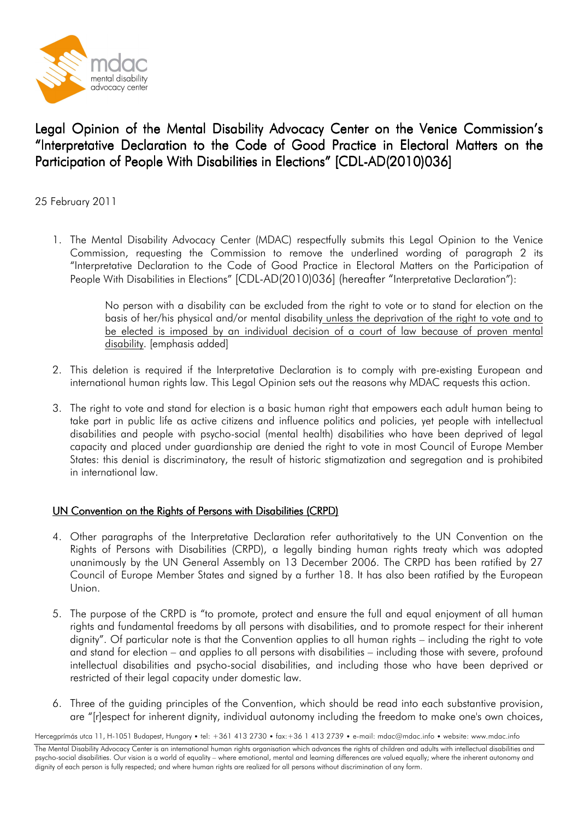

## Legal Opinion of the Mental Disability Advocacy Center on the Venice Commission's "Interpretative Declaration to the Code of Good Practice in Electoral Matters on the Participation of People With Disabilities in Elections" [CDL-AD(2010)036]

25 February 2011

1. The Mental Disability Advocacy Center (MDAC) respectfully submits this Legal Opinion to the Venice Commission, requesting the Commission to remove the underlined wording of paragraph 2 its "Interpretative Declaration to the Code of Good Practice in Electoral Matters on the Participation of People With Disabilities in Elections" [CDL-AD(2010)036] (hereafter "Interpretative Declaration"):

> No person with a disability can be excluded from the right to vote or to stand for election on the basis of her/his physical and/or mental disability unless the deprivation of the right to vote and to be elected is imposed by an individual decision of a court of law because of proven mental disability. [emphasis added]

- 2. This deletion is required if the Interpretative Declaration is to comply with pre-existing European and international human rights law. This Legal Opinion sets out the reasons why MDAC requests this action.
- 3. The right to vote and stand for election is a basic human right that empowers each adult human being to take part in public life as active citizens and influence politics and policies, yet people with intellectual disabilities and people with psycho-social (mental health) disabilities who have been deprived of legal capacity and placed under guardianship are denied the right to vote in most Council of Europe Member States: this denial is discriminatory, the result of historic stigmatization and segregation and is prohibited in international law.

## UN Convention on the Rights of Persons with Disabilities (CRPD)

- 4. Other paragraphs of the Interpretative Declaration refer authoritatively to the UN Convention on the Rights of Persons with Disabilities (CRPD), a legally binding human rights treaty which was adopted unanimously by the UN General Assembly on 13 December 2006. The CRPD has been ratified by 27 Council of Europe Member States and signed by a further 18. It has also been ratified by the European Union.
- 5. The purpose of the CRPD is "to promote, protect and ensure the full and equal enjoyment of all human rights and fundamental freedoms by all persons with disabilities, and to promote respect for their inherent dignity". Of particular note is that the Convention applies to all human rights – including the right to vote and stand for election – and applies to all persons with disabilities – including those with severe, profound intellectual disabilities and psycho-social disabilities, and including those who have been deprived or restricted of their legal capacity under domestic law.
- 6. Three of the guiding principles of the Convention, which should be read into each substantive provision, are "[r]espect for inherent dignity, individual autonomy including the freedom to make one's own choices,

Hercegprímás utca 11, H-1051 Budapest, Hungary • tel: +361 413 2730 • fax:+36 1 413 2739 • e-mail: mdac@mdac.info • website: www.mdac.info

The Mental Disability Advocacy Center is an international human rights organisation which advances the rights of children and adults with intellectual disabilities and psycho-social disabilities. Our vision is a world of equality – where emotional, mental and learning differences are valued equally; where the inherent autonomy and dignity of each person is fully respected; and where human rights are realized for all persons without discrimination of any form.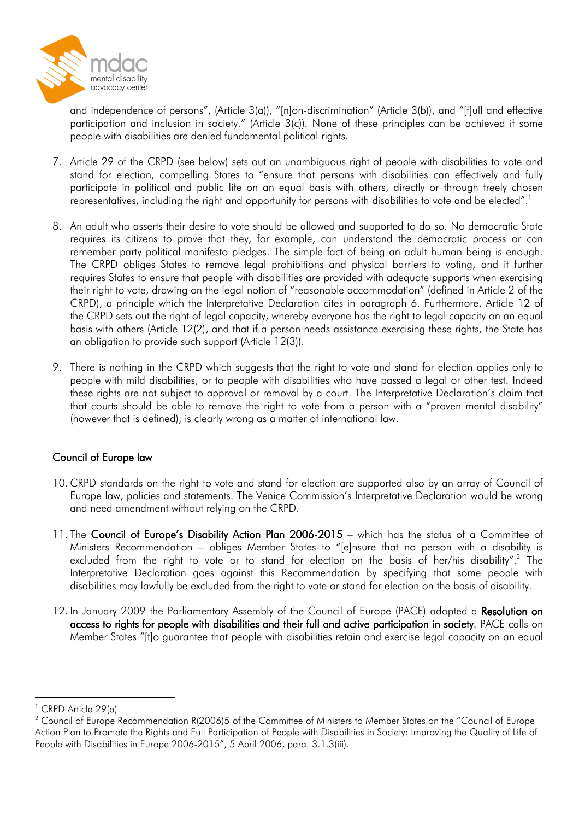

and independence of persons", (Article 3(a)), "[n]on-discrimination" (Article 3(b)), and "[f]ull and effective participation and inclusion in society." (Article 3(c)). None of these principles can be achieved if some people with disabilities are denied fundamental political rights.

- 7. Article 29 of the CRPD (see below) sets out an unambiguous right of people with disabilities to vote and stand for election, compelling States to "ensure that persons with disabilities can effectively and fully participate in political and public life on an equal basis with others, directly or through freely chosen representatives, including the right and opportunity for persons with disabilities to vote and be elected".<sup>1</sup>
- 8. An adult who asserts their desire to vote should be allowed and supported to do so. No democratic State requires its citizens to prove that they, for example, can understand the democratic process or can remember party political manifesto pledges. The simple fact of being an adult human being is enough. The CRPD obliges States to remove legal prohibitions and physical barriers to voting, and it further requires States to ensure that people with disabilities are provided with adequate supports when exercising their right to vote, drawing on the legal notion of "reasonable accommodation" (defined in Article 2 of the CRPD), a principle which the Interpretative Declaration cites in paragraph 6. Furthermore, Article 12 of the CRPD sets out the right of legal capacity, whereby everyone has the right to legal capacity on an equal basis with others (Article 12(2), and that if a person needs assistance exercising these rights, the State has an obligation to provide such support (Article 12(3)).
- 9. There is nothing in the CRPD which suggests that the right to vote and stand for election applies only to people with mild disabilities, or to people with disabilities who have passed a legal or other test. Indeed these rights are not subject to approval or removal by a court. The Interpretative Declaration's claim that that courts should be able to remove the right to vote from a person with a "proven mental disability" (however that is defined), is clearly wrong as a matter of international law.

## Council of Europe law

- 10. CRPD standards on the right to vote and stand for election are supported also by an array of Council of Europe law, policies and statements. The Venice Commission's Interpretative Declaration would be wrong and need amendment without relying on the CRPD.
- 11. The Council of Europe's Disability Action Plan  $2006-2015$  which has the status of a Committee of Ministers Recommendation – obliges Member States to "[e]nsure that no person with a disability is excluded from the right to vote or to stand for election on the basis of her/his disability".<sup>2</sup> The Interpretative Declaration goes against this Recommendation by specifying that some people with disabilities may lawfully be excluded from the right to vote or stand for election on the basis of disability.
- 12. In January 2009 the Parliamentary Assembly of the Council of Europe (PACE) adopted a Resolution on access to rights for people with disabilities and their full and active participation in society. PACE calls on Member States "[t]o guarantee that people with disabilities retain and exercise legal capacity on an equal

 $\overline{a}$ 

<sup>1</sup> CRPD Article 29(a)

 $^2$  Council of Europe Recommendation R(2006)5 of the Committee of Ministers to Member States on the "Council of Europe Action Plan to Promote the Rights and Full Participation of People with Disabilities in Society: Improving the Quality of Life of People with Disabilities in Europe 2006-2015", 5 April 2006, para. 3.1.3(iii).